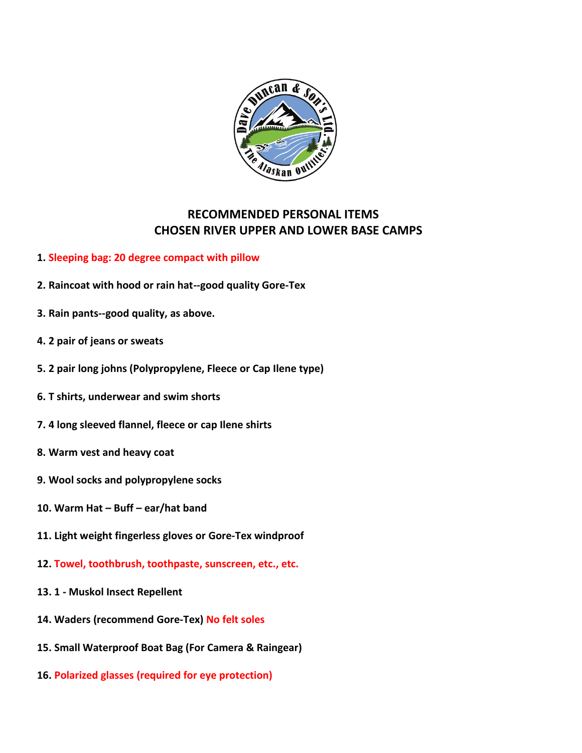

## **RECOMMENDED PERSONAL ITEMS CHOSEN RIVER UPPER AND LOWER BASE CAMPS**

- **1. Sleeping bag: 20 degree compact with pillow**
- **2. Raincoat with hood or rain hat--good quality Gore-Tex**
- **3. Rain pants--good quality, as above.**
- **4. 2 pair of jeans or sweats**
- **5. 2 pair long johns (Polypropylene, Fleece or Cap Ilene type)**
- **6. T shirts, underwear and swim shorts**
- **7. 4 long sleeved flannel, fleece or cap Ilene shirts**
- **8. Warm vest and heavy coat**
- **9. Wool socks and polypropylene socks**
- **10. Warm Hat – Buff – ear/hat band**
- **11. Light weight fingerless gloves or Gore-Tex windproof**
- **12. Towel, toothbrush, toothpaste, sunscreen, etc., etc.**
- **13. 1 - Muskol Insect Repellent**
- **14. Waders (recommend Gore-Tex) No felt soles**
- **15. Small Waterproof Boat Bag (For Camera & Raingear)**
- **16. Polarized glasses (required for eye protection)**